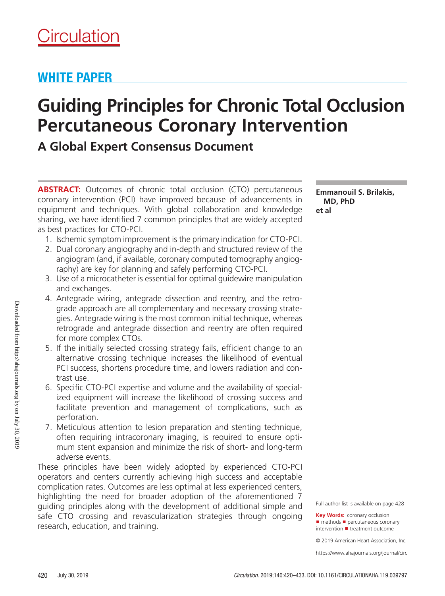## WHITE PAPER

# **Guiding Principles for Chronic Total Occlusion Percutaneous Coronary Intervention**

**A Global Expert Consensus Document**

**ABSTRACT:** Outcomes of chronic total occlusion (CTO) percutaneous coronary intervention (PCI) have improved because of advancements in equipment and techniques. With global collaboration and knowledge sharing, we have identified 7 common principles that are widely accepted as best practices for CTO-PCI.

- 1. Ischemic symptom improvement is the primary indication for CTO-PCI.
- 2. Dual coronary angiography and in-depth and structured review of the angiogram (and, if available, coronary computed tomography angiography) are key for planning and safely performing CTO-PCI.
- 3. Use of a microcatheter is essential for optimal guidewire manipulation and exchanges.
- 4. Antegrade wiring, antegrade dissection and reentry, and the retrograde approach are all complementary and necessary crossing strategies. Antegrade wiring is the most common initial technique, whereas retrograde and antegrade dissection and reentry are often required for more complex CTOs.
- 5. If the initially selected crossing strategy fails, efficient change to an alternative crossing technique increases the likelihood of eventual PCI success, shortens procedure time, and lowers radiation and contrast use.
- 6. Specific CTO-PCI expertise and volume and the availability of specialized equipment will increase the likelihood of crossing success and facilitate prevention and management of complications, such as perforation.
- 7. Meticulous attention to lesion preparation and stenting technique, often requiring intracoronary imaging, is required to ensure optimum stent expansion and minimize the risk of short- and long-term adverse events.

These principles have been widely adopted by experienced CTO-PCI operators and centers currently achieving high success and acceptable complication rates. Outcomes are less optimal at less experienced centers, highlighting the need for broader adoption of the aforementioned 7 guiding principles along with the development of additional simple and safe CTO crossing and revascularization strategies through ongoing research, education, and training.

**Emmanouil S. Brilakis, MD, PhD et al**

Full author list is available on page 428

**Key Words:** coronary occlusion ■ methods ■ percutaneous coronary intervention ◼ treatment outcome

© 2019 American Heart Association, Inc.

https://www.ahajournals.org/journal/circ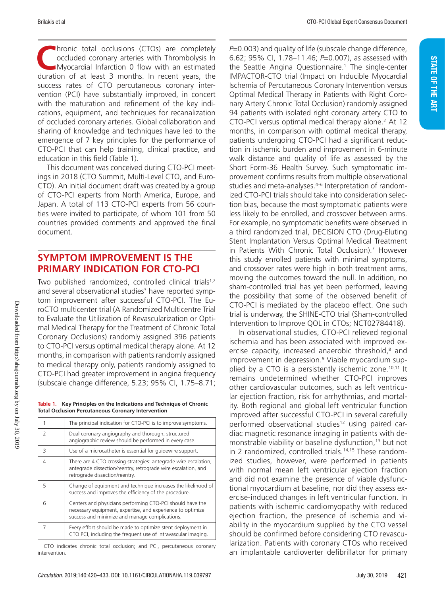**C**hronic total occlusions (CTOs) are completely occluded coronary arteries with Thrombolysis In Myocardial Infarction 0 flow with an estimated duration of at least 3 months. In recent years, the success rates of CTO percutaneous coronary intervention (PCI) have substantially improved, in concert with the maturation and refinement of the key indications, equipment, and techniques for recanalization of occluded coronary arteries. Global collaboration and sharing of knowledge and techniques have led to the emergence of 7 key principles for the performance of CTO-PCI that can help training, clinical practice, and education in this field (Table 1).

This document was conceived during CTO-PCI meetings in 2018 (CTO Summit, Multi-Level CTO, and Euro-CTO). An initial document draft was created by a group of CTO-PCI experts from North America, Europe, and Japan. A total of 113 CTO-PCI experts from 56 counties were invited to participate, of whom 101 from 50 countries provided comments and approved the final document.

#### **SYMPTOM IMPROVEMENT IS THE PRIMARY INDICATION FOR CTO-PCI**

Two published randomized, controlled clinical trials<sup>1,2</sup> and several observational studies<sup>3</sup> have reported symptom improvement after successful CTO-PCI. The EuroCTO multicenter trial (A Randomized Multicentre Trial to Evaluate the Utilization of Revascularization or Optimal Medical Therapy for the Treatment of Chronic Total Coronary Occlusions) randomly assigned 396 patients to CTO-PCI versus optimal medical therapy alone. At 12 months, in comparison with patients randomly assigned to medical therapy only, patients randomly assigned to CTO-PCI had greater improvement in angina frequency (subscale change difference, 5.23; 95% CI, 1.75–8.71;

**Table 1. Key Principles on the Indications and Technique of Chronic Total Occlusion Percutaneous Coronary Intervention**

|                | The principal indication for CTO-PCI is to improve symptoms.                                                                                                              |
|----------------|---------------------------------------------------------------------------------------------------------------------------------------------------------------------------|
| $\mathcal{P}$  | Dual coronary angiography and thorough, structured<br>angiographic review should be performed in every case.                                                              |
| 3              | Use of a microcatheter is essential for quidewire support.                                                                                                                |
| $\overline{4}$ | There are 4 CTO crossing strategies: antegrade wire escalation,<br>antegrade dissection/reentry, retrograde wire escalation, and<br>retrograde dissection/reentry.        |
| 5              | Change of equipment and technique increases the likelihood of<br>success and improves the efficiency of the procedure.                                                    |
| 6              | Centers and physicians performing CTO-PCI should have the<br>necessary equipment, expertise, and experience to optimize<br>success and minimize and manage complications. |
| 7              | Every effort should be made to optimize stent deployment in<br>CTO PCI, including the frequent use of intravascular imaging.                                              |

CTO indicates chronic total occlusion; and PCI, percutaneous coronary intervention.

*P*=0.003) and quality of life (subscale change difference, 6.62; 95% CI, 1.78–11.46; *P*=0.007), as assessed with the Seattle Angina Questionnaire.1 The single-center IMPACTOR-CTO trial (Impact on Inducible Myocardial Ischemia of Percutaneous Coronary Intervention versus Optimal Medical Therapy in Patients with Right Coronary Artery Chronic Total Occlusion) randomly assigned 94 patients with isolated right coronary artery CTO to CTO-PCI versus optimal medical therapy alone. $2$  At 12 months, in comparison with optimal medical therapy, patients undergoing CTO-PCI had a significant reduction in ischemic burden and improvement in 6-minute walk distance and quality of life as assessed by the Short Form-36 Health Survey. Such symptomatic improvement confirms results from multiple observational studies and meta-analyses.<sup>4-6</sup> Interpretation of randomized CTO-PCI trials should take into consideration selection bias, because the most symptomatic patients were less likely to be enrolled, and crossover between arms. For example, no symptomatic benefits were observed in a third randomized trial, DECISION CTO (Drug-Eluting Stent Implantation Versus Optimal Medical Treatment in Patients With Chronic Total Occlusion).7 However this study enrolled patients with minimal symptoms, and crossover rates were high in both treatment arms, moving the outcomes toward the null. In addition, no sham-controlled trial has yet been performed, leaving the possibility that some of the observed benefit of CTO-PCI is mediated by the placebo effect. One such trial is underway, the SHINE-CTO trial (Sham-controlled Intervention to Improve QOL in CTOs; NCT02784418).

In observational studies, CTO-PCI relieved regional ischemia and has been associated with improved exercise capacity, increased anaerobic threshold,<sup>8</sup> and improvement in depression.9 Viable myocardium supplied by a CTO is a persistently ischemic zone.10,11 It remains undetermined whether CTO-PCI improves other cardiovascular outcomes, such as left ventricular ejection fraction, risk for arrhythmias, and mortality. Both regional and global left ventricular function improved after successful CTO-PCI in several carefully performed observational studies<sup>12</sup> using paired cardiac magnetic resonance imaging in patients with demonstrable viability or baseline dysfunction,<sup>13</sup> but not in 2 randomized, controlled trials.<sup>14,15</sup> These randomized studies, however, were performed in patients with normal mean left ventricular ejection fraction and did not examine the presence of viable dysfunctional myocardium at baseline, nor did they assess exercise-induced changes in left ventricular function. In patients with ischemic cardiomyopathy with reduced ejection fraction, the presence of ischemia and viability in the myocardium supplied by the CTO vessel should be confirmed before considering CTO revascularization. Patients with coronary CTOs who received an implantable cardioverter defibrillator for primary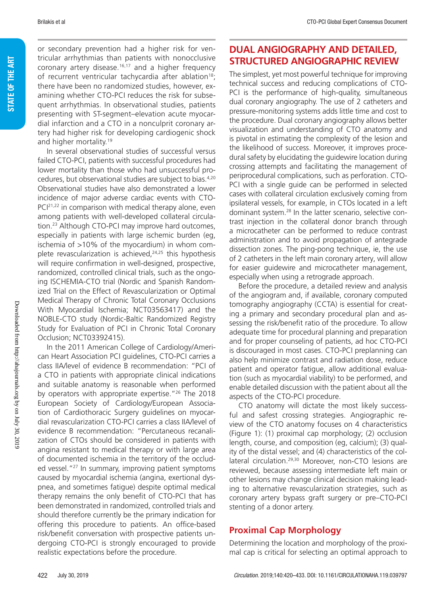or secondary prevention had a higher risk for ventricular arrhythmias than patients with nonocclusive coronary artery disease.<sup>16,17</sup> and a higher frequency of recurrent ventricular tachycardia after ablation<sup>18</sup>; there have been no randomized studies, however, examining whether CTO-PCI reduces the risk for subsequent arrhythmias. In observational studies, patients presenting with ST-segment–elevation acute myocardial infarction and a CTO in a nonculprit coronary artery had higher risk for developing cardiogenic shock and higher mortality.19

In several observational studies of successful versus failed CTO-PCI, patients with successful procedures had lower mortality than those who had unsuccessful procedures, but observational studies are subject to bias.4,20 Observational studies have also demonstrated a lower incidence of major adverse cardiac events with CTO-PCI<sup>21,22</sup> in comparison with medical therapy alone, even among patients with well-developed collateral circulation.23 Although CTO-PCI may improve hard outcomes, especially in patients with large ischemic burden (eg, ischemia of >10% of the myocardium) in whom complete revascularization is achieved, $24,25$  this hypothesis will require confirmation in well-designed, prospective, randomized, controlled clinical trials, such as the ongoing ISCHEMIA-CTO trial (Nordic and Spanish Randomized Trial on the Effect of Revascularization or Optimal Medical Therapy of Chronic Total Coronary Occlusions With Myocardial Ischemia; NCT03563417) and the NOBLE-CTO study (Nordic-Baltic Randomized Registry Study for Evaluation of PCI in Chronic Total Coronary Occlusion; NCT03392415).

In the 2011 American College of Cardiology/American Heart Association PCI guidelines, CTO-PCI carries a class IIA/level of evidence B recommendation: "PCI of a CTO in patients with appropriate clinical indications and suitable anatomy is reasonable when performed by operators with appropriate expertise."<sup>26</sup> The 2018 European Society of Cardiology/European Association of Cardiothoracic Surgery guidelines on myocardial revascularization CTO-PCI carries a class IIA/level of evidence B recommendation: "Percutaneous recanalization of CTOs should be considered in patients with angina resistant to medical therapy or with large area of documented ischemia in the territory of the occluded vessel."27 In summary, improving patient symptoms caused by myocardial ischemia (angina, exertional dyspnea, and sometimes fatigue) despite optimal medical therapy remains the only benefit of CTO-PCI that has been demonstrated in randomized, controlled trials and should therefore currently be the primary indication for offering this procedure to patients. An office-based risk/benefit conversation with prospective patients undergoing CTO-PCI is strongly encouraged to provide realistic expectations before the procedure.

## **DUAL ANGIOGRAPHY AND DETAILED, STRUCTURED ANGIOGRAPHIC REVIEW**

The simplest, yet most powerful technique for improving technical success and reducing complications of CTO-PCI is the performance of high-quality, simultaneous dual coronary angiography. The use of 2 catheters and pressure-monitoring systems adds little time and cost to the procedure. Dual coronary angiography allows better visualization and understanding of CTO anatomy and is pivotal in estimating the complexity of the lesion and the likelihood of success. Moreover, it improves procedural safety by elucidating the guidewire location during crossing attempts and facilitating the management of periprocedural complications, such as perforation. CTO-PCI with a single guide can be performed in selected cases with collateral circulation exclusively coming from ipsilateral vessels, for example, in CTOs located in a left dominant system.<sup>28</sup> In the latter scenario, selective contrast injection in the collateral donor branch through a microcatheter can be performed to reduce contrast administration and to avoid propagation of antegrade dissection zones. The ping-pong technique, ie, the use of 2 catheters in the left main coronary artery, will allow for easier guidewire and microcatheter management, especially when using a retrograde approach.

Before the procedure, a detailed review and analysis of the angiogram and, if available, coronary computed tomography angiography (CCTA) is essential for creating a primary and secondary procedural plan and assessing the risk/benefit ratio of the procedure. To allow adequate time for procedural planning and preparation and for proper counseling of patients, ad hoc CTO-PCI is discouraged in most cases. CTO-PCI preplanning can also help minimize contrast and radiation dose, reduce patient and operator fatigue, allow additional evaluation (such as myocardial viability) to be performed, and enable detailed discussion with the patient about all the aspects of the CTO-PCI procedure.

CTO anatomy will dictate the most likely successful and safest crossing strategies. Angiographic review of the CTO anatomy focuses on 4 characteristics (Figure 1): (1) proximal cap morphology; (2) occlusion length, course, and composition (eg, calcium); (3) quality of the distal vessel; and (4) characteristics of the collateral circulation.<sup>29,30</sup> Moreover, non-CTO lesions are reviewed, because assessing intermediate left main or other lesions may change clinical decision making leading to alternative revascularization strategies, such as coronary artery bypass graft surgery or pre–CTO-PCI stenting of a donor artery.

#### **Proximal Cap Morphology**

Determining the location and morphology of the proximal cap is critical for selecting an optimal approach to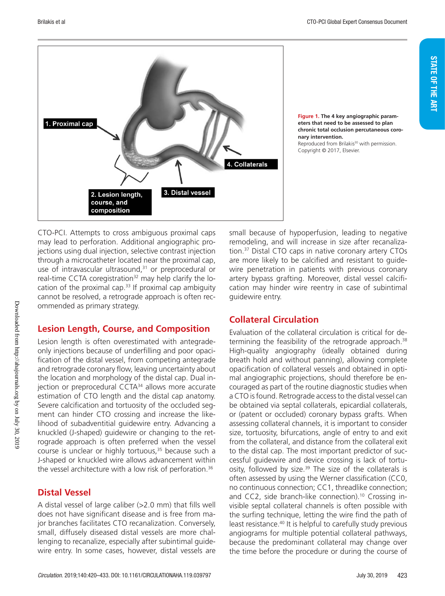

**Figure 1. The 4 key angiographic parameters that need to be assessed to plan chronic total occlusion percutaneous coronary intervention.**

Reproduced from Brilakis<sup>30</sup> with permission. Copyright © 2017, Elsevier.

CTO-PCI. Attempts to cross ambiguous proximal caps may lead to perforation. Additional angiographic projections using dual injection, selective contrast injection through a microcatheter located near the proximal cap, use of intravascular ultrasound, $31$  or preprocedural or real-time CCTA coregistration<sup>32</sup> may help clarify the location of the proximal cap. $33$  If proximal cap ambiguity cannot be resolved, a retrograde approach is often recommended as primary strategy.

## **Lesion Length, Course, and Composition**

Lesion length is often overestimated with antegradeonly injections because of underfilling and poor opacification of the distal vessel, from competing antegrade and retrograde coronary flow, leaving uncertainty about the location and morphology of the distal cap. Dual injection or preprocedural CCTA<sup>34</sup> allows more accurate estimation of CTO length and the distal cap anatomy. Severe calcification and tortuosity of the occluded segment can hinder CTO crossing and increase the likelihood of subadventitial guidewire entry. Advancing a knuckled (J-shaped) guidewire or changing to the retrograde approach is often preferred when the vessel course is unclear or highly tortuous,<sup>35</sup> because such a J-shaped or knuckled wire allows advancement within the vessel architecture with a low risk of perforation.<sup>36</sup>

## **Distal Vessel**

A distal vessel of large caliber (>2.0 mm) that fills well does not have significant disease and is free from major branches facilitates CTO recanalization. Conversely, small, diffusely diseased distal vessels are more challenging to recanalize, especially after subintimal guidewire entry. In some cases, however, distal vessels are small because of hypoperfusion, leading to negative remodeling, and will increase in size after recanalization.37 Distal CTO caps in native coronary artery CTOs are more likely to be calcified and resistant to guidewire penetration in patients with previous coronary artery bypass grafting. Moreover, distal vessel calcification may hinder wire reentry in case of subintimal guidewire entry.

## **Collateral Circulation**

Evaluation of the collateral circulation is critical for determining the feasibility of the retrograde approach.<sup>38</sup> High-quality angiography (ideally obtained during breath hold and without panning), allowing complete opacification of collateral vessels and obtained in optimal angiographic projections, should therefore be encouraged as part of the routine diagnostic studies when a CTO is found. Retrograde access to the distal vessel can be obtained via septal collaterals, epicardial collaterals, or (patent or occluded) coronary bypass grafts. When assessing collateral channels, it is important to consider size, tortuosity, bifurcations, angle of entry to and exit from the collateral, and distance from the collateral exit to the distal cap. The most important predictor of successful guidewire and device crossing is lack of tortuosity, followed by size.<sup>39</sup> The size of the collaterals is often assessed by using the Werner classification (CC0, no continuous connection; CC1, threadlike connection; and CC2, side branch-like connection).<sup>10</sup> Crossing invisible septal collateral channels is often possible with the surfing technique, letting the wire find the path of least resistance.<sup>40</sup> It is helpful to carefully study previous angiograms for multiple potential collateral pathways, because the predominant collateral may change over the time before the procedure or during the course of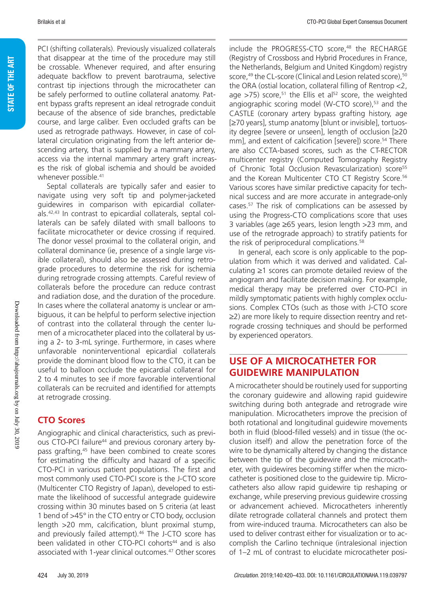PCI (shifting collaterals). Previously visualized collaterals that disappear at the time of the procedure may still be crossable. Whenever required, and after ensuring adequate backflow to prevent barotrauma, selective contrast tip injections through the microcatheter can be safely performed to outline collateral anatomy. Patent bypass grafts represent an ideal retrograde conduit because of the absence of side branches, predictable course, and large caliber. Even occluded grafts can be used as retrograde pathways. However, in case of collateral circulation originating from the left anterior descending artery, that is supplied by a mammary artery, access via the internal mammary artery graft increases the risk of global ischemia and should be avoided whenever possible.<sup>41</sup>

Septal collaterals are typically safer and easier to navigate using very soft tip and polymer-jacketed guidewires in comparison with epicardial collaterals.42,43 In contrast to epicardial collaterals, septal collaterals can be safely dilated with small balloons to facilitate microcatheter or device crossing if required. The donor vessel proximal to the collateral origin, and collateral dominance (ie, presence of a single large visible collateral), should also be assessed during retrograde procedures to determine the risk for ischemia during retrograde crossing attempts. Careful review of collaterals before the procedure can reduce contrast and radiation dose, and the duration of the procedure. In cases where the collateral anatomy is unclear or ambiguous, it can be helpful to perform selective injection of contrast into the collateral through the center lumen of a microcatheter placed into the collateral by using a 2- to 3-mL syringe. Furthermore, in cases where unfavorable noninterventional epicardial collaterals provide the dominant blood flow to the CTO, it can be useful to balloon occlude the epicardial collateral for 2 to 4 minutes to see if more favorable interventional collaterals can be recruited and identified for attempts at retrograde crossing.

#### **CTO Scores**

Angiographic and clinical characteristics, such as previous CTO-PCI failure<sup>44</sup> and previous coronary artery bypass grafting,<sup>45</sup> have been combined to create scores for estimating the difficulty and hazard of a specific CTO-PCI in various patient populations. The first and most commonly used CTO-PCI score is the J-CTO score (Multicenter CTO Registry of Japan), developed to estimate the likelihood of successful antegrade guidewire crossing within 30 minutes based on 5 criteria (at least 1 bend of >45° in the CTO entry or CTO body, occlusion length >20 mm, calcification, blunt proximal stump, and previously failed attempt).<sup>46</sup> The J-CTO score has been validated in other CTO-PCI cohorts<sup>44</sup> and is also associated with 1-year clinical outcomes.47 Other scores

include the PROGRESS-CTO score,<sup>48</sup> the RECHARGE (Registry of Crossboss and Hybrid Procedures in France, the Netherlands, Belgium and United Kingdom) registry score,<sup>49</sup> the CL-score (Clinical and Lesion related score),<sup>50</sup> the ORA (ostial location, collateral filling of Rentrop <2, age  $>75$ ) score,<sup>51</sup> the Ellis et al<sup>52</sup> score, the weighted angiographic scoring model (W-CTO score), $53$  and the CASTLE (coronary artery bypass grafting history, age [≥70 years], stump anatomy [blunt or invisible], tortuosity degree [severe or unseen], length of occlusion [≥20 mm], and extent of calcification [severe]) score.<sup>54</sup> There are also CCTA-based scores, such as the CT-RECTOR multicenter registry (Computed Tomography Registry of Chronic Total Occlusion Revascularization) score<sup>55</sup> and the Korean Multicenter CTO CT Registry Score.<sup>56</sup> Various scores have similar predictive capacity for technical success and are more accurate in antegrade-only cases.<sup>57</sup> The risk of complications can be assessed by using the Progress-CTO complications score that uses 3 variables (age ≥65 years, lesion length >23 mm, and use of the retrograde approach) to stratify patients for the risk of periprocedural complications.<sup>58</sup>

In general, each score is only applicable to the population from which it was derived and validated. Calculating ≥1 scores can promote detailed review of the angiogram and facilitate decision making. For example, medical therapy may be preferred over CTO-PCI in mildly symptomatic patients with highly complex occlusions. Complex CTOs (such as those with J-CTO score ≥2) are more likely to require dissection reentry and retrograde crossing techniques and should be performed by experienced operators.

## **USE OF A MICROCATHETER FOR GUIDEWIRE MANIPULATION**

A microcatheter should be routinely used for supporting the coronary guidewire and allowing rapid guidewire switching during both antegrade and retrograde wire manipulation. Microcatheters improve the precision of both rotational and longitudinal guidewire movements both in fluid (blood-filled vessels) and in tissue (the occlusion itself) and allow the penetration force of the wire to be dynamically altered by changing the distance between the tip of the guidewire and the microcatheter, with guidewires becoming stiffer when the microcatheter is positioned close to the guidewire tip. Microcatheters also allow rapid guidewire tip reshaping or exchange, while preserving previous guidewire crossing or advancement achieved. Microcatheters inherently dilate retrograde collateral channels and protect them from wire-induced trauma. Microcatheters can also be used to deliver contrast either for visualization or to accomplish the Carlino technique (intralesional injection of 1–2 mL of contrast to elucidate microcatheter posi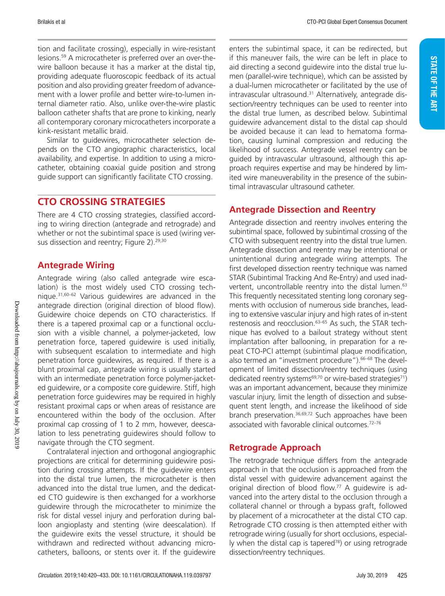tion and facilitate crossing), especially in wire-resistant lesions.59 A microcatheter is preferred over an over-thewire balloon because it has a marker at the distal tip, providing adequate fluoroscopic feedback of its actual position and also providing greater freedom of advancement with a lower profile and better wire-to-lumen internal diameter ratio. Also, unlike over-the-wire plastic balloon catheter shafts that are prone to kinking, nearly all contemporary coronary microcatheters incorporate a kink-resistant metallic braid.

Similar to guidewires, microcatheter selection depends on the CTO angiographic characteristics, local availability, and expertise. In addition to using a microcatheter, obtaining coaxial guide position and strong guide support can significantly facilitate CTO crossing.

#### **CTO CROSSING STRATEGIES**

There are 4 CTO crossing strategies, classified according to wiring direction (antegrade and retrograde) and whether or not the subintimal space is used (wiring versus dissection and reentry; Figure 2).<sup>29,30</sup>

#### **Antegrade Wiring**

Antegrade wiring (also called antegrade wire escalation) is the most widely used CTO crossing technique.31,60–62 Various guidewires are advanced in the antegrade direction (original direction of blood flow). Guidewire choice depends on CTO characteristics. If there is a tapered proximal cap or a functional occlusion with a visible channel, a polymer-jacketed, low penetration force, tapered guidewire is used initially, with subsequent escalation to intermediate and high penetration force guidewires, as required. If there is a blunt proximal cap, antegrade wiring is usually started with an intermediate penetration force polymer-jacketed guidewire, or a composite core guidewire. Stiff, high penetration force guidewires may be required in highly resistant proximal caps or when areas of resistance are encountered within the body of the occlusion. After proximal cap crossing of 1 to 2 mm, however, deescalation to less penetrating guidewires should follow to navigate through the CTO segment.

Contralateral injection and orthogonal angiographic projections are critical for determining guidewire position during crossing attempts. If the guidewire enters into the distal true lumen, the microcatheter is then advanced into the distal true lumen, and the dedicated CTO guidewire is then exchanged for a workhorse guidewire through the microcatheter to minimize the risk for distal vessel injury and perforation during balloon angioplasty and stenting (wire deescalation). If the guidewire exits the vessel structure, it should be withdrawn and redirected without advancing microcatheters, balloons, or stents over it. If the guidewire

enters the subintimal space, it can be redirected, but if this maneuver fails, the wire can be left in place to aid directing a second guidewire into the distal true lumen (parallel-wire technique), which can be assisted by a dual-lumen microcatheter or facilitated by the use of intravascular ultrasound.<sup>31</sup> Alternatively, antegrade dissection/reentry techniques can be used to reenter into the distal true lumen, as described below. Subintimal guidewire advancement distal to the distal cap should be avoided because it can lead to hematoma formation, causing luminal compression and reducing the likelihood of success. Antegrade vessel reentry can be guided by intravascular ultrasound, although this approach requires expertise and may be hindered by limited wire maneuverability in the presence of the subintimal intravascular ultrasound catheter.

#### **Antegrade Dissection and Reentry**

Antegrade dissection and reentry involves entering the subintimal space, followed by subintimal crossing of the CTO with subsequent reentry into the distal true lumen. Antegrade dissection and reentry may be intentional or unintentional during antegrade wiring attempts. The first developed dissection reentry technique was named STAR (Subintimal Tracking And Re-Entry) and used inadvertent, uncontrollable reentry into the distal lumen.<sup>63</sup> This frequently necessitated stenting long coronary segments with occlusion of numerous side branches, leading to extensive vascular injury and high rates of in-stent restenosis and reocclusion.63–65 As such, the STAR technique has evolved to a bailout strategy without stent implantation after ballooning, in preparation for a repeat CTO-PCI attempt (subintimal plaque modification, also termed an "investment procedure").<sup>66–68</sup> The development of limited dissection/reentry techniques (using dedicated reentry systems<sup>69,70</sup> or wire-based strategies<sup>71</sup>) was an important advancement, because they minimize vascular injury, limit the length of dissection and subsequent stent length, and increase the likelihood of side branch preservation.<sup>36,69,72</sup> Such approaches have been associated with favorable clinical outcomes.72–76

#### **Retrograde Approach**

The retrograde technique differs from the antegrade approach in that the occlusion is approached from the distal vessel with guidewire advancement against the original direction of blood flow.77 A guidewire is advanced into the artery distal to the occlusion through a collateral channel or through a bypass graft, followed by placement of a microcatheter at the distal CTO cap. Retrograde CTO crossing is then attempted either with retrograde wiring (usually for short occlusions, especially when the distal cap is tapered<sup>78</sup>) or using retrograde dissection/reentry techniques.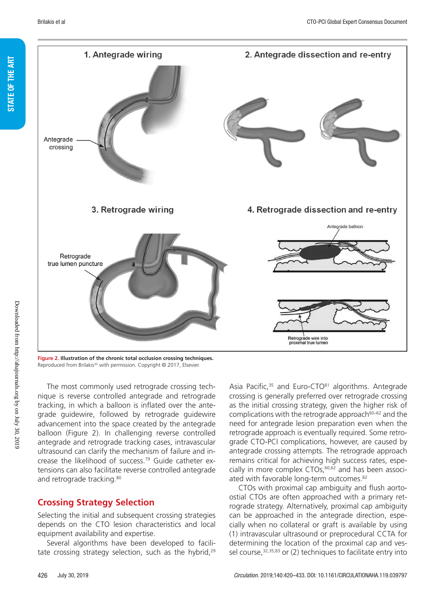STATE OF THE ART STATE OF THE ART



**Figure 2. Illustration of the chronic total occlusion crossing techniques.** Reproduced from Brilakis<sup>30</sup> with permission. Copyright © 2017, Elsevier.

The most commonly used retrograde crossing technique is reverse controlled antegrade and retrograde tracking, in which a balloon is inflated over the antegrade guidewire, followed by retrograde guidewire advancement into the space created by the antegrade balloon (Figure 2). In challenging reverse controlled antegrade and retrograde tracking cases, intravascular ultrasound can clarify the mechanism of failure and increase the likelihood of success.79 Guide catheter extensions can also facilitate reverse controlled antegrade and retrograde tracking.<sup>80</sup>

#### **Crossing Strategy Selection**

Selecting the initial and subsequent crossing strategies depends on the CTO lesion characteristics and local equipment availability and expertise.

Several algorithms have been developed to facilitate crossing strategy selection, such as the hybrid, $29$ 

Asia Pacific,<sup>35</sup> and Euro-CTO<sup>81</sup> algorithms. Antegrade crossing is generally preferred over retrograde crossing as the initial crossing strategy, given the higher risk of complications with the retrograde approach<sup>60–62</sup> and the need for antegrade lesion preparation even when the retrograde approach is eventually required. Some retrograde CTO-PCI complications, however, are caused by antegrade crossing attempts. The retrograde approach remains critical for achieving high success rates, especially in more complex  $CTOs, <sup>60,62</sup>$  and has been associated with favorable long-term outcomes.<sup>82</sup>

CTOs with proximal cap ambiguity and flush aortoostial CTOs are often approached with a primary retrograde strategy. Alternatively, proximal cap ambiguity can be approached in the antegrade direction, especially when no collateral or graft is available by using (1) intravascular ultrasound or preprocedural CCTA for determining the location of the proximal cap and vessel course,  $32,35,83$  or (2) techniques to facilitate entry into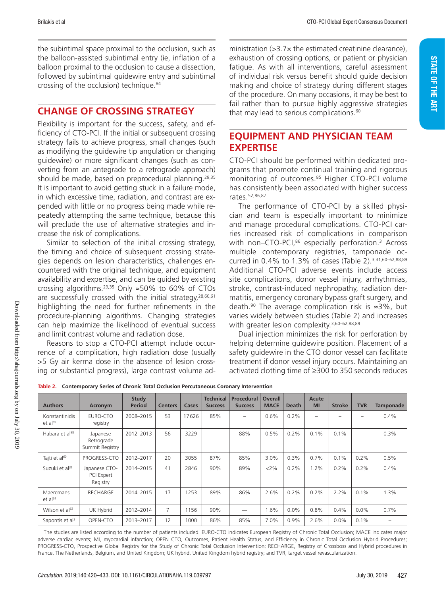the subintimal space proximal to the occlusion, such as the balloon-assisted subintimal entry (ie, inflation of a balloon proximal to the occlusion to cause a dissection, followed by subintimal guidewire entry and subintimal crossing of the occlusion) technique.84

#### **CHANGE OF CROSSING STRATEGY**

Flexibility is important for the success, safety, and efficiency of CTO-PCI. If the initial or subsequent crossing strategy fails to achieve progress, small changes (such as modifying the guidewire tip angulation or changing guidewire) or more significant changes (such as converting from an antegrade to a retrograde approach) should be made, based on preprocedural planning.<sup>29,35</sup> It is important to avoid getting stuck in a failure mode, in which excessive time, radiation, and contrast are expended with little or no progress being made while repeatedly attempting the same technique, because this will preclude the use of alternative strategies and increase the risk of complications.

Similar to selection of the initial crossing strategy, the timing and choice of subsequent crossing strategies depends on lesion characteristics, challenges encountered with the original technique, and equipment availability and expertise, and can be guided by existing crossing algorithms.29,35 Only ≈50% to 60% of CTOs are successfully crossed with the initial strategy,  $28,60,61$ highlighting the need for further refinements in the procedure-planning algorithms. Changing strategies can help maximize the likelihood of eventual success and limit contrast volume and radiation dose.

Reasons to stop a CTO-PCI attempt include occurrence of a complication, high radiation dose (usually >5 Gy air kerma dose in the absence of lesion crossing or substantial progress), large contrast volume ad-

ministration (> 3.7 x the estimated creatinine clearance), exhaustion of crossing options, or patient or physician fatigue. As with all interventions, careful assessment of individual risk versus benefit should guide decision making and choice of strategy during different stages of the procedure. On many occasions, it may be best to fail rather than to pursue highly aggressive strategies that may lead to serious complications.<sup>60</sup>

## **EQUIPMENT AND PHYSICIAN TEAM EXPERTISE**

CTO-PCI should be performed within dedicated programs that promote continual training and rigorous monitoring of outcomes.<sup>85</sup> Higher CTO-PCI volume has consistently been associated with higher success rates.52,86,87

The performance of CTO-PCI by a skilled physician and team is especially important to minimize and manage procedural complications. CTO-PCI carries increased risk of complications in comparison with non–CTO-PCI,<sup>86</sup> especially perforation.<sup>3</sup> Across multiple contemporary registries, tamponade occurred in 0.4% to 1.3% of cases (Table 2).<sup>3,31,60-62,88,89</sup> Additional CTO-PCI adverse events include access site complications, donor vessel injury, arrhythmias, stroke, contrast-induced nephropathy, radiation dermatitis, emergency coronary bypass graft surgery, and death.90 The average complication risk is ≈3%, but varies widely between studies (Table 2) and increases with greater lesion complexity.<sup>3,60-62,88,89</sup>

Dual injection minimizes the risk for perforation by helping determine guidewire position. Placement of a safety guidewire in the CTO donor vessel can facilitate treatment if donor vessel injury occurs. Maintaining an activated clotting time of ≥300 to 350 seconds reduces

**Table 2. Contemporary Series of Chronic Total Occlusion Percutaneous Coronary Intervention**

| <b>Authors</b>                   | Acronym                                   | Study<br><b>Period</b> | <b>Centers</b> | Cases | <b>Technical</b><br><b>Success</b> | Procedural<br><b>Success</b> | <b>Overall</b><br><b>MACE</b> | <b>Death</b> | Acute<br>MI | <b>Stroke</b> | <b>TVR</b>               | <b>Tamponade</b> |
|----------------------------------|-------------------------------------------|------------------------|----------------|-------|------------------------------------|------------------------------|-------------------------------|--------------|-------------|---------------|--------------------------|------------------|
| Konstantinidis<br>$et al^{89}$   | EURO-CTO<br>registry                      | 2008-2015              | 53             | 17626 | 85%                                |                              | 0.6%                          | 0.2%         |             |               |                          | 0.4%             |
| Habara et al <sup>88</sup>       | Japanese<br>Retrograde<br>Summit Registry | 2012-2013              | 56             | 3229  | -                                  | 88%                          | 0.5%                          | 0.2%         | 0.1%        | 0.1%          | $\overline{\phantom{a}}$ | 0.3%             |
| Tajti et al <sup>60</sup>        | PROGRESS-CTO                              | 2012-2017              | 20             | 3055  | 87%                                | 85%                          | 3.0%                          | 0.3%         | 0.7%        | 0.1%          | 0.2%                     | 0.5%             |
| Suzuki et al <sup>31</sup>       | Japanese CTO-<br>PCI Expert<br>Registry   | 2014-2015              | 41             | 2846  | 90%                                | 89%                          | $2\%$                         | 0.2%         | 1.2%        | 0.2%          | 0.2%                     | 0.4%             |
| Maeremans<br>et al <sup>61</sup> | <b>RECHARGE</b>                           | 2014-2015              | 17             | 1253  | 89%                                | 86%                          | 2.6%                          | 0.2%         | 0.2%        | 2.2%          | 0.1%                     | 1.3%             |
| Wilson et al <sup>62</sup>       | UK Hybrid                                 | 2012-2014              | $\overline{7}$ | 1156  | 90%                                |                              | 1.6%                          | 0.0%         | 0.8%        | 0.4%          | 0.0%                     | 0.7%             |
| Sapontis et al <sup>3</sup>      | OPEN-CTO                                  | 2013-2017              | 12             | 1000  | 86%                                | 85%                          | 7.0%                          | 0.9%         | 2.6%        | $0.0\%$       | 0.1%                     |                  |

The studies are listed according to the number of patients included. EURO-CTO indicates European Registry of Chronic Total Occlusion; MACE indicates major adverse cardiac events; MI, myocardial infarction; OPEN CTO, Outcomes, Patient Health Status, and Efficiency in Chronic Total Occlusion Hybrid Procedures; PROGRESS-CTO, Prospective Global Registry for the Study of Chronic Total Occlusion Intervention; RECHARGE, Registry of Crossboss and Hybrid procedures in France, The Netherlands, Belgium, and United Kingdom; UK hybrid, United Kingdom hybrid registry; and TVR, target vessel revascularization.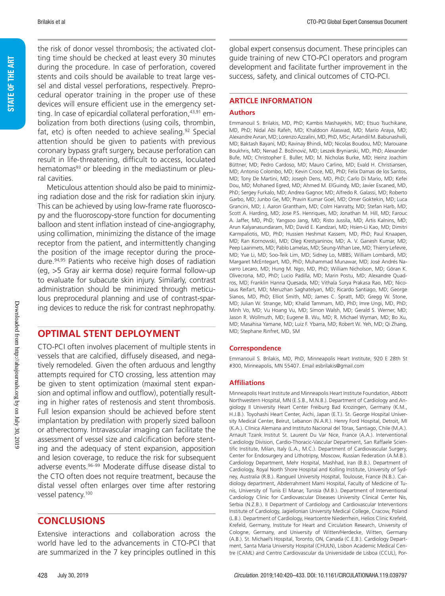the risk of donor vessel thrombosis; the activated clotting time should be checked at least every 30 minutes during the procedure. In case of perforation, covered stents and coils should be available to treat large vessel and distal vessel perforations, respectively. Preprocedural operator training in the proper use of these devices will ensure efficient use in the emergency setting. In case of epicardial collateral perforation, 43,91 embolization from both directions (using coils, thrombin, fat, etc) is often needed to achieve sealing.<sup>92</sup> Special attention should be given to patients with previous coronary bypass graft surgery, because perforation can result in life-threatening, difficult to access, loculated hematomas<sup>93</sup> or bleeding in the mediastinum or pleural cavities.

Meticulous attention should also be paid to minimizing radiation dose and the risk for radiation skin injury. This can be achieved by using low-frame rate fluoroscopy and the fluoroscopy-store function for documenting balloon and stent inflation instead of cine-angiography, using collimation, minimizing the distance of the image receptor from the patient, and intermittently changing the position of the image receptor during the procedure.94,95 Patients who receive high doses of radiation (eg, >5 Gray air kerma dose) require formal follow-up to evaluate for subacute skin injury. Similarly, contrast administration should be minimized through meticulous preprocedural planning and use of contrast-sparing devices to reduce the risk for contrast nephropathy.

## **OPTIMAL STENT DEPLOYMENT**

CTO-PCI often involves placement of multiple stents in vessels that are calcified, diffusely diseased, and negatively remodeled. Given the often arduous and lengthy attempts required for CTO crossing, less attention may be given to stent optimization (maximal stent expansion and optimal inflow and outflow), potentially resulting in higher rates of restenosis and stent thrombosis. Full lesion expansion should be achieved before stent implantation by predilation with properly sized balloon or atherectomy. Intravascular imaging can facilitate the assessment of vessel size and calcification before stenting and the adequacy of stent expansion, apposition and lesion coverage, to reduce the risk for subsequent adverse events.<sup>96-99</sup> Moderate diffuse disease distal to the CTO often does not require treatment, because the distal vessel often enlarges over time after restoring vessel patency.100

#### **CONCLUSIONS**

Extensive interactions and collaboration across the world have led to the advancements in CTO-PCI that are summarized in the 7 key principles outlined in this

global expert consensus document. These principles can guide training of new CTO-PCI operators and program development and facilitate further improvement in the success, safety, and clinical outcomes of CTO-PCI.

#### **ARTICLE INFORMATION**

#### **Authors**

Emmanouil S. Brilakis, MD, PhD; Kambis Mashayekhi, MD; Etsuo Tsuchikane, MD, PhD; Nidal Abi Rafeh, MD; Khaldoon Alaswad, MD; Mario Araya, MD; Alexandre Avran, MD; Lorenzo Azzalini, MD, PhD, MSc; Avtandil M. Babunashvili, MD; Baktash Bayani, MD; Ravinay Bhindi, MD; Nicolas Boudou, MD; Marouane Boukhris, MD; Nenad Ž. Božinović, MD; Leszek Bryniarski, MD, PhD; Alexander Bufe, MD; Christopher E. Buller, MD; M. Nicholas Burke, MD; Heinz Joachim Büttner, MD; Pedro Cardoso, MD; Mauro Carlino, MD; Evald H. Christiansen, MD; Antonio Colombo, MD; Kevin Croce, MD, PhD; Felix Damas de los Santos, MD; Tony De Martini, MD; Joseph Dens, MD, PhD; Carlo Di Mario, MD; Kefei Dou, MD; Mohaned Egred, MD; Ahmed M. ElGuindy, MD; Javier Escaned, MD, PhD; Sergey Furkalo, MD; Andrea Gagnor, MD; Alfredo R. Galassi, MD; Roberto Garbo, MD; Junbo Ge, MD; Pravin Kumar Goel, MD; Omer Goktekin, MD; Luca Grancini, MD; J. Aaron Grantham, MD; Colm Hanratty, MD; Stefan Harb, MD; Scott A. Harding, MD; Jose P.S. Henriques, MD; Jonathan M. Hill, MD; Farouc A. Jaffer, MD, PhD; Yangsoo Jang, MD; Risto Jussila, MD; Artis Kalnins, MD; Arun Kalyanasundaram, MD; David E. Kandzari, MD; Hsien-Li Kao, MD; Dimitri Karmpaliotis, MD, PhD; Hussien Heshmat Kassem, MD, PhD; Paul Knaapen, MD; Ran Kornowski, MD; Oleg Krestyaninov, MD; A. V. Ganesh Kumar, MD; Peep Laanmets, MD; Pablo Lamelas, MD; Seung-Whan Lee, MD; Thierry Lefevre, MD; Yue Li, MD; Soo-Teik Lim, MD; Sidney Lo, MBBS; William Lombardi, MD; Margaret McEntegart, MD, PhD; Muhammad Munawar, MD; José Andrés Navarro Lecaro, MD; Hung M. Ngo, MD, PhD; William Nicholson, MD; Göran K. Olivecrona, MD, PhD; Lucio Padilla, MD; Marin Postu, MD; Alexandre Quadros, MD; Franklin Hanna Quesada, MD; Vithala Surya Prakasa Rao, MD; Nicolaus Reifart, MD; Meruzhan Saghatelyan, MD; Ricardo Santiago, MD; George Sianos, MD, PhD; Elliot Smith, MD; James C. Spratt, MD; Gregg W. Stone, MD; Julian W. Strange, MD; Khalid Tammam, MD, PhD; Imre Ungi, MD, PhD; Minh Vo, MD; Vu Hoang Vu, MD; Simon Walsh, MD; Gerald S. Werner, MD; Jason R. Wollmuth, MD; Eugene B. Wu, MD; R. Michael Wyman, MD; Bo Xu, MD; Masahisa Yamane, MD; Luiz F. Ybarra, MD; Robert W. Yeh, MD; Qi Zhang, MD; Stephane Rinfret, MD, SM

#### **Correspondence**

Emmanouil S. Brilakis, MD, PhD, Minneapolis Heart Institute, 920 E 28th St #300, Minneapolis, MN 55407. Email [esbrilakis@gmail.com](mailto:esbrilakis@gmail.com)

#### **Affiliations**

Minneapolis Heart Institute and Minneapolis Heart Institute Foundation, Abbott Northwestern Hospital, MN (E.S.B., M.N.B.). Department of Cardiology and Angiology II University Heart Center Freiburg Bad Krozingen, Germany (K.M., H.J.B.). Toyohashi Heart Center, Aichi, Japan (E.T.). St. George Hospital University Medical Center, Beirut, Lebanon (N.A.R.). Henry Ford Hospital, Detroit, MI (K.A.). Clínica Alemana and Instituto Nacional del Tórax, Santiago, Chile (M.A.). Arnault Tzank Institut St. Laurent Du Var Nice, France (A.A.). Interventional Cardiology Division, Cardio-Thoracic-Vascular Department, San Raffaele Scientific Institute, Milan, Italy (L.A., M.C.). Department of Cardiovascular Surgery, Center for Endosurgery and Lithotripsy, Moscow, Russian Federation (A.M.B.). Cardiology Department, Mehr Hospital, Mashhad, Iran (B.B.). Department of Cardiology, Royal North Shore Hospital and Kolling Institute, University of Sydney, Australia (R.B.). Rangueil University Hospital, Toulouse, France (N.B.). Cardiology department, Abderrahment Mami Hospital, Faculty of Medicine of Tunis, University of Tunis El Manar, Tunisia (M.B.). Department of Interventional Cardiology Clinic for Cardiovascular Diseases University Clinical Center Nis, Serbia (N.Z.B.). II Department of Cardiology and Cardiovascular Interventions Institute of Cardiology, Jagiellonian University Medical College, Cracow, Poland (L.B.). Department of Cardiology, Heartcentre Niederrhein, Helios Clinic Krefeld, Krefeld, Germany, Institute for Heart and Circulation Research, University of Cologne, Germany, and University of Witten/Herdecke, Witten, Germany (A.B.). St. Michael's Hospital, Toronto, ON, Canada (C.E.B.). Cardiology Department, Santa Maria University Hospital (CHULN), Lisbon Academic Medical Centre (CAML) and Centro Cardiovascular da Universidade de Lisboa (CCUL), Por-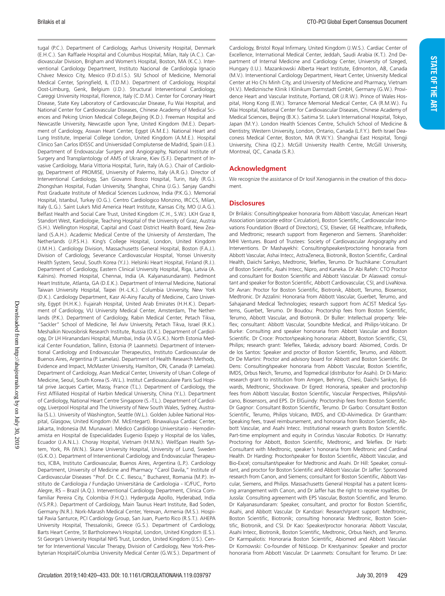tugal (P.C.). Department of Cardiology, Aarhus University Hospital, Denmark (E.H.C.). San Raffaele Hospital and Columbus Hospital, Milan, Italy (A.C.). Cardiovascular Division, Brigham and Women's Hospital, Boston, MA (K.C.). Interventional Cardiology Department, Instituto Nacional de Cardiología Ignacio Chávez Mexico City, Mexico (F.D.d.l.S.). SIU School of Medicine, Memorial Medical Center, Springfield, IL (T.D.M.). Department of Cardiology, Hospital Oost-Limburg, Genk, Belgium (J.D.). Structural Interventional Cardiology, Careggi University Hospital, Florence, Italy (C.D.M.). Center for Coronary Heart Disease, State Key Laboratory of Cardiovascular Disease, Fu Wai Hospital, and National Center for Cardiovascular Diseases, Chinese Academy of Medical Sciences and Peking Union Medical College,Beijing (K.D.). Freeman Hospital and Newcastle University, Newcastle upon Tyne, United Kingdom (M.E.). Department of Cardiology, Aswan Heart Center, Egypt (A.M.E.). National Heart and Lung Institute, Imperial College London, United Kingdom (A.M.E.). Hospital Clinico San Carlos IDISSC and Universidad Complutense de Madrid, Spain (J.E.). Department of Endovascular Surgery and Angiography, National Institute of Surgery and Transplantology of AMS of Ukraine, Kiev (S.F.). Department of Invasive Cardiology, Maria Vittoria Hospital, Turin, Italy (A.G.). Chair of Cardiology, Department of PROMISE, University of Palermo, Italy (A.R.G.). Director of Interventional Cardiology, San Giovanni Bosco Hospital, Turin, Italy (R.G.). Zhongshan Hospital, Fudan University, Shanghai, China (J.G.). Sanjay Gandhi Post Graduate Institute of Medical Sciences Lucknow, India (P.K.G.). Memorial Hospital, Istanbul, Turkey (O.G.). Centro Cardiologico Monzino, IRCCS, Milan, Italy (L.G.). Saint Luke's Mid America Heart Institute, Kansas City, MO (J.A.G.). Belfast Health and Social Care Trust, United Kingdom (C.H., S.W.). LKH Graz II, Standort West, Kardiologie, Teaching Hospital of the University of Graz, Austria (S.H.). Wellington Hospital, Capital and Coast District Health Board, New Zealand (S.A.H.). Academic Medical Centre of the University of Amsterdam, The Netherlands (J.P.S.H.). King's College Hospital, London, United Kingdom (J.M.H.). Cardiology Division, Massachusetts General Hospital, Boston (F.A.J.). Division of Cardiology, Severance Cardiovascular Hospital, Yonsei University Health System, Seoul, South Korea (Y.J.). Helsinki Heart Hospital, Finland (R.J.). Department of Cardiology, Eastern Clinical University Hospital, Riga, Latvia (A. Kalnins). Promed Hospital, Chennai, India (A. Kalyanasundaram). Piedmont Heart Institute, Atlanta, GA (D.E.K.). Department of Internal Medicine, National Taiwan University Hospital, Taipei (H.-L.K.). Columbia University, New York (D.K.). Cardiology Department, Kasr Al-Ainy Faculty of Medicine, Cairo University, Egypt (H.H.K.). Fujairah Hospital, United Arab Emirates (H.H.K.). Department of Cardiology, VU University Medical Center, Amsterdam, The Netherlands (P.K.). Department of Cardiology, Rabin Medical Center, Petach Tikva, "Sackler" School of Medicine, Tel Aviv University, Petach Tikva, Israel (R.K.). Meshalkin Novosibrisk Research Institute, Russia (O.K.). Department of Cardiology, Dr LH Hiranandani Hospital, Mumbai, India (A.V.G.K.). North Estonia Medical Center Foundation, Tallinn, Estonia (P. Laanmets). Department of Interventional Cardiology and Endovascular Therapeutics, Instituto Cardiovascular de Buenos Aires, Argentina (P. Lamelas). Department of Health Research Methods, Evidence and Impact, McMaster University, Hamilton, ON, Canada (P. Lamelas). Department of Cardiology, Asan Medical Center, University of Ulsan College of Medicine, Seoul, South Korea (S.-W.L.). Institut Cardiovasculaire Paris Sud Hopital prive Jacques Cartier, Massy, France (T.L.). Department of Cardiology, the First Affiliated Hospital of Harbin Medical University, China (Y.L.). Department of Cardiology, National Heart Centre Singapore (S.-T.L.). Department of Cardiology, Liverpool Hospital and The University of New South Wales, Sydney, Australia (S.L.). University of Washington, Seattle (W.L.). Golden Jubilee National Hospital, Glasgow, United Kingdom (M. McEntegart). Binawaluya Cardiac Center, Jakarta, Indonesia (M. Munawar). Médico Cardiólogo Universitario - Hemodinamista en Hospital de Especialidades Eugenio Espejo y Hospital de los Valles, Ecuador (J.A.N.L.). Choray Hospital, Vietnam (H.M.N.). WellSpan Health System, York, PA (W.N.). Skane University Hospital, University of Lund, Sweden (G.K.O.). Department of Interventional Cardiology and Endovascular Therapeutics, ICBA, Instituto Cardiovascular, Buenos Aires, Argentina (L.P.). Cardiology Department, University of Medicine and Pharmacy "Carol Davila," Institute of Cardiovascular Diseases "Prof. Dr. C.C. Iliescu," Bucharest, Romania (M.P.). Instituto de Cardiologia / Fundação Universitária de Cardiologia - IC/FUC, Porto Alegre, RS – Brazil (A.Q.). Interventional Cardiology Department, Clinica Comfamiliar Pereira City, Colombia (F.H.Q.). Hyderguda Apollo, Hyderabad, India (V.S.P.R.). Department of Cardiology, Main Taunus Heart Institute, Bad Soden, Germany (N.R.). Nork-Marash Medical Center, Yerevan, Armenia (M.S.). Hospital Pavia Santurce, PCI Cardiology Group, San Juan, Puerto Rico (R.S.T.). AHEPA University Hospital, Thessaloniki, Greece (G.S.). Department of Cardiology, Barts Heart Centre, St Bartholomew's Hospital, London, United Kingdom (E.S.). St George's University Hospital NHS Trust, London, United Kingdom (J.S.). Center for Interventional Vascular Therapy, Division of Cardiology, New York-Presbyterian Hospital/Columbia University Medical Center (G.W.S.). Department of

Cardiology, Bristol Royal Infirmary, United Kingdom (J.W.S.). Cardiac Center of Excellence, International Medical Center, Jeddah, Saudi Arabia (K.T.). 2nd Department of Internal Medicine and Cardiology Center, University of Szeged, Hungary (I.U.). Mazankowski Alberta Heart Institute, Edmonton, AB, Canada (M.V.). Interventional Cardiology Department, Heart Center, University Medical Center at Ho Chi Minh City, and University of Medicine and Pharmacy, Vietnam (H.V.). Medizinische Klinik I Klinikum Darmstadt GmbH, Germany (G.W.). Providence Heart and Vascular Institute, Portland, OR (J.R.W.). Prince of Wales Hospital, Hong Kong (E.W.). Torrance Memorial Medical Center, CA (R.M.W.). Fu Wai Hospital, National Center for Cardiovascular Diseases, Chinese Academy of Medical Sciences, Beijing (B.X.). Saitima St. Luke's International Hospital, Tokyo, Japan (M.Y.). London Health Sciences Centre, Schulich School of Medicine & Dentistry, Western University, London, Ontario, Canada (L.F.Y.). Beth Israel Deaconess Medical Center, Boston, MA (R.W.Y.). Shanghai East Hospital, Tongji University, China (Q.Z.). McGill University Health Centre, McGill University, Montreal, QC, Canada (S.R.).

#### **Acknowledgment**

We recognize the assistance of Dr Iosif Xenogiannis in the creation of this document.

#### **Disclosures**

Dr Brilakis: Consulting/speaker honoraria from Abbott Vascular, American Heart Association (associate editor Circulation), Boston Scientific, Cardiovascular Innovations Foundation (Board of Directors), CSI, Elsevier, GE Healthcare, InfraRedx, and Medtronic; research support from Regeneron and Siemens. Shareholder: MHI Ventures. Board of Trustees: Society of Cardiovascular Angiography and Interventions. Dr Mashayekhi: Consulting/speaker/proctoring honoraria from Abbott Vascular, Ashai Intecc, AstraZeneca, Biotronik, Boston Scientific, Cardinal Health, Daiichi Sankyo, Medtronic, Teleflex, Terumo. Dr Tsuchikane: Consultant of Boston Scientific, Asahi Intecc, Nipro, and Kaneka. Dr Abi Rafeh: CTO Proctor and consultant for Boston Scientific and Abbott Vascular. Dr Alaswad: consultant and speaker for Boston Scientific, Abbott Cardiovascular, CSI, and LivaNova. Dr Avran: Proctor for Boston Scientific, Biotronik, Abbott, Terumo, Biosensor, Medtronic. Dr Azzalini: Honoraria from Abbott Vascular, Guerbet, Terumo, and Sahajanand Medical Technologies; research support from ACIST Medical Systems, Guerbet, Terumo. Dr Boudou: Proctorship fees from Boston Scientific, Terumo, Abbott Vascular, and Biotronik. Dr Buller: Intellectual property: Teleflex; consultant: Abbott Vascular, Soundbite Medical, and Philips-Volcano. Dr Burke: Consulting and speaker honoraria from Abbott Vascular and Boston Scientific. Dr Croce: Proctor/speaking honoraria: Abbott, Boston Scientific, CSI, Philips; research grant: Teleflex, Takeda; advisory board: Abiomed, Cordis. Dr de los Santos: Speaker and proctor of Boston Scientific, Terumo, and Abbott. Dr De Martini: Proctor and advisory board for Abbott and Boston Scientific. Dr Dens: Consulting/speaker honoraria from Abbott Vascular, Boston Scientific, IMDS, Orbus Neich, Terumo, and Topmedical (distributor for Asahi). Dr Di Mario: research grant to institution from Amgen, Behring, Chiesi, Daiichi Sankyo, Edwards, Medtronic, Shockwave. Dr Egred: Honoraria, speaker and proctorship fees from Abbott Vascular, Boston Scientific, Vascular Perspectives, Philips/Volcano, Biosensors, and EPS. Dr ElGuindy: Proctorship fees from Boston Scientific. Dr Gagnor: Consultant Boston Scientific, Terumo. Dr Garbo: Consultant Boston Scientific, Terumo, Philips Volcano, IMDS, and CID-Alvimedica. Dr Grantham: Speaking fees, travel reimbursement, and honoraria from Boston Scientific, Abbott Vascular, and Asahi Intecc. Institutional research grants Boston Scientific. Part-time employment and equity in Corindus Vascular Robotics. Dr Hanratty: Proctoring for Abbott, Boston Scientific, Medtronic, and Teleflex. Dr Harb: Consultant with Medtronic, speaker´s honoraria from Medtronic and Cardinal Health. Dr Harding: Proctor/speaker for Boston Scientific, Abbott Vascular, and Bio-Excel; consultant/speaker for Medtronic and Asahi. Dr Hill: Speaker, consultant, and proctor for Boston Scientific and Abbott Vascular. Dr Jaffer: Sponsored research from Canon, and Siemens; consultant for Boston Scientific, Abbott Vascular, Siemens, and Philips. Massachusetts General Hospital has a patent licensing arrangement with Canon, and Dr Jaffer has the right to receive royalties. Dr Jussila: Consulting agreement with EPS Vascular, Boston Scientific, and Terumo. Dr Kalyanasundaram: Speaker, consultant, and proctor for Boston Scientific, Asahi, and Abbott Vascular. Dr Kandzari: Research/grant support: Medtronic, Boston Scientific, Biotronik; consulting honoraria: Medtronic, Boston Scientific, Biotronik, and CSI. Dr Kao: Speaker/proctor honoraria: Abbott Vascular, Asahi Intecc, Biotronik, Boston Scientific, Medtronic, Orbus Neich, and Terumo. Dr Karmpaliotis: Honoraria Boston Scientific, Abiomed and Abbott Vascular. Dr Kornowski: Co-founder of NitiLoop. Dr Krestyaninov: Speaker and proctor honoraria from Abbott Vascular. Dr Laanmets: Consultant for Terumo. Dr Lee: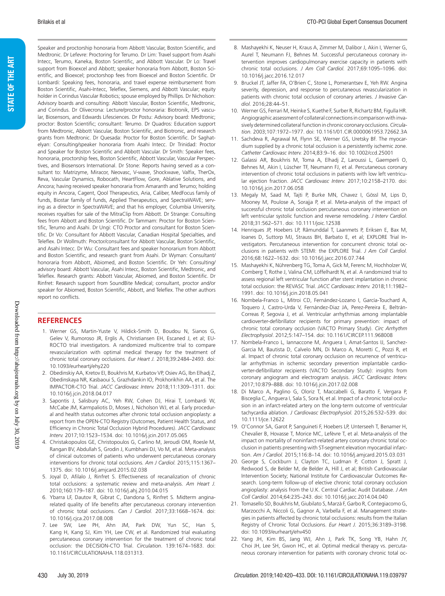Speaker and proctorship honoraria from Abbott Vascular, Boston Scientific, and Medtronic. Dr Lefevre: Proctoring for Terumo. Dr Lim: Travel support from Asahi Intecc, Terumo, Kaneka, Boston Scientific, and Abbott Vascular. Dr Lo: Travel support from Bioexcel and Abbott; speaker honoraria from Abbott, Boston Scientific, and Bioexcel; proctorshop fees from Bioexcel and Boston Scientific. Dr Lombardi: Speaking fees, honoraria, and travel expense reimbursement from Boston Scientific, Asahi-Intecc, Teleflex, Siemens, and Abbott Vascular; equity holder in Corindus Vascular Robotics; spouse employed by Phillips. Dr Nicholson: Advisory boards and consulting: Abbott Vascular, Boston Scientific, Medtronic, and Corindus. Dr Olivecrona: Lecture/proctor honoraria: Biotronik, EPS vascular, Biosensors, and Edwards Lifesciences. Dr Postu: Advisory board: Medtronic; proctor: Boston Scientific; consultant: Terumo. Dr Quadros: Education support from Medtronic, Abbott Vascular, Boston Scientific, and Biotronic, and research grants from Medtronic. Dr Quesada: Proctor for Boston Scientific. Dr Saghatelyan: Consulting/speaker honoraria from Asahi Intecc. Dr Trinidad: Proctor and Speaker for Boston Scientific and Abbott Vascular. Dr Smith: Speaker fees, honoraria, proctorship fees, Boston Scientific, Abbott Vascular, Vascular Perspectives, and Biosensors International. Dr Stone: Reports having served as a consultant to: Matrizyme, Miracor, Neovasc, V-wave, Shockwave, Valfix, TherOx, Reva, Vascular Dynamics, Robocath, HeartFlow, Gore, Ablative Solutions, and Ancora; having received speaker honoraria from Amaranth and Terumo; holding equity in Ancora, Cagent, Qool Therapeutics, Aria, Caliber, MedFocus family of funds, Biostar family of funds, Applied Therapeutics, and SpectraWAVE; serving as a director in SpectraWAVE; and that his employer, Columbia University, receives royalties for sale of the MitraClip from Abbott. Dr Strange: Consulting fees from Abbott and Boston Scientific. Dr Tammam: Proctor for Boston Scientific, Terumo and Asahi. Dr Ungi: CTO Proctor and consultant for Boston Scientific. Dr Vo: Consultant for Abbott Vascular, Canadian Hospital Specialties, and Teleflex. Dr Wollmuth: Proctor/consultant for Abbott Vascular, Boston Scientific, and Asahi Intecc. Dr Wu: Consultant fees and speaker honorarium from Abbott and Boston Scientific, and research grant from Asahi. Dr Wyman: Consultant/ honoraria from Abbott, Abiomed, and Boston Scientific. Dr Yeh: Consulting/ advisory board: Abbott Vascular, Asahi Intecc, Boston Scientific, Medtronic, and Teleflex. Research grants: Abbott Vascular, Abiomed, and Boston Scientific. Dr Rinfret: Research support from SoundBite Medical; consultant, proctor and/or speaker for Abiomed, Boston Scientific, Abbott, and Teleflex. The other authors report no conflicts.

#### **REFERENCES**

- 1. Werner GS, Martin-Yuste V, Hildick-Smith D, Boudou N, Sianos G, Gelev V, Rumoroso JR, Erglis A, Christiansen EH, Escaned J, et al; EU-ROCTO trial investigators. A randomized multicentre trial to compare revascularization with optimal medical therapy for the treatment of chronic total coronary occlusions. *Eur Heart J.* 2018;39:2484–2493. doi: 10.1093/eurheartj/ehy220
- 2. Obedinskiy AA, Kretov EI, Boukhris M, Kurbatov VP, Osiev AG, Ibn Elhadj Z, Obedinskaya NR, Kasbaoui S, Grazhdankin IO, Prokhorikhin AA, et al. The IMPACTOR-CTO Trial. *JACC Cardiovasc Interv.* 2018;11:1309–1311. doi: 10.1016/j.jcin.2018.04.017
- 3. Sapontis J, Salisbury AC, Yeh RW, Cohen DJ, Hirai T, Lombardi W, McCabe JM, Karmpaliotis D, Moses J, Nicholson WJ, et al. Early procedural and health status outcomes after chronic total occlusion angioplasty: a report from the OPEN-CTO Registry (Outcomes, Patient Health Status, and Efficiency in Chronic Total Occlusion Hybrid Procedures). *JACC Cardiovasc Interv.* 2017;10:1523–1534. doi: 10.1016/j.jcin.2017.05.065
- 4. Christakopoulos GE, Christopoulos G, Carlino M, Jeroudi OM, Roesle M, Rangan BV, Abdullah S, Grodin J, Kumbhani DJ, Vo M, et al. Meta-analysis of clinical outcomes of patients who underwent percutaneous coronary interventions for chronic total occlusions. *Am J Cardiol.* 2015;115:1367– 1375. doi: 10.1016/j.amjcard.2015.02.038
- 5. Joyal D, Afilalo J, Rinfret S. Effectiveness of recanalization of chronic total occlusions: a systematic review and meta-analysis. *Am Heart J.* 2010;160:179–187. doi: 10.1016/j.ahj.2010.04.015
- 6. Ybarra LF, Dautov R, Gibrat C, Dandona S, Rinfret S. Midterm anginarelated quality of life benefits after percutaneous coronary intervention of chronic total occlusions. *Can J Cardiol.* 2017;33:1668–1674. doi: 10.1016/j.cjca.2017.08.008
- 7. Lee SW, Lee PH, Ahn JM, Park DW, Yun SC, Han S, Kang H, Kang SJ, Kim YH, Lee CW, et al. Randomized trial evaluating percutaneous coronary intervention for the treatment of chronic total occlusion: the DECISION-CTO Trial. *Circulation*. 139:1674–1683. doi: 10.1161/CIRCULATIONAHA.118.031313.
- 8. Mashayekhi K, Neuser H, Kraus A, Zimmer M, Dalibor J, Akin I, Werner G, Aurel T, Neumann FJ, Behnes M. Successful percutaneous coronary intervention improves cardiopulmonary exercise capacity in patients with chronic total occlusions. *J Am Coll Cardiol.* 2017;69:1095–1096. doi: 10.1016/j.jacc.2016.12.017
- 9. Bruckel JT, Jaffer FA, O'Brien C, Stone L, Pomerantsev E, Yeh RW. Angina severity, depression, and response to percutaneous revascularization in patients with chronic total occlusion of coronary arteries. *J Invasive Cardiol.* 2016;28:44–51.
- 10. Werner GS, Ferrari M, Heinke S, Kuethe F, Surber R, Richartz BM, Figulla HR. Angiographic assessment of collateral connections in comparison with invasively determined collateral function in chronic coronary occlusions. *Circulation.* 2003;107:1972–1977. doi: 10.1161/01.CIR.0000061953.72662.3A
- 11. Sachdeva R, Agrawal M, Flynn SE, Werner GS, Uretsky BF. The myocardium supplied by a chronic total occlusion is a persistently ischemic zone. *Catheter Cardiovasc Interv.* 2014;83:9–16. doi: 10.1002/ccd.25001
- 12. Galassi AR, Boukhris M, Toma A, Elhadj Z, Laroussi L, Gaemperli O, Behnes M, Akin I, Lüscher TF, Neumann FJ, et al. Percutaneous coronary intervention of chronic total occlusions in patients with low left ventricular ejection fraction. *JACC Cardiovasc Interv.* 2017;10:2158–2170. doi: 10.1016/j.jcin.2017.06.058
- 13. Megaly M, Saad M, Tajti P, Burke MN, Chavez I, Gössl M, Lips D, Mooney M, Poulose A, Sorajja P, et al. Meta-analysis of the impact of successful chronic total occlusion percutaneous coronary intervention on left ventricular systolic function and reverse remodeling. *J Interv Cardiol.* 2018;31:562–571. doi: 10.1111/joic.12538
- 14. Henriques JP, Hoebers LP, Råmunddal T, Laanmets P, Eriksen E, Bax M, Ioanes D, Suttorp MJ, Strauss BH, Barbato E, et al; EXPLORE Trial Investigators. Percutaneous intervention for concurrent chronic total occlusions in patients with STEMI: the EXPLORE Trial. *J Am Coll Cardiol.* 2016;68:1622–1632. doi: 10.1016/j.jacc.2016.07.744
- 15. Mashayekhi K, Nührenberg TG, Toma A, Gick M, Ferenc M, Hochholzer W, Comberg T, Rothe J, Valina CM, Löffelhardt N, et al. A randomized trial to assess regional left ventricular function after stent implantation in chronic total occlusion: the REVASC Trial. *JACC Cardiovasc Interv.* 2018;11:1982– 1991. doi: 10.1016/j.jcin.2018.05.041
- 16. Nombela-Franco L, Mitroi CD, Fernández-Lozano I, García-Touchard A, Toquero J, Castro-Urda V, Fernández-Diaz JA, Perez-Pereira E, Beltrán-Correas P, Segovia J, et al. Ventricular arrhythmias among implantable cardioverter-defibrillator recipients for primary prevention: impact of chronic total coronary occlusion (VACTO Primary Study). *Circ Arrhythm Electrophysiol*. 2012;5:147–154. doi: 10.1161/CIRCEP.111.968008
- 17. Nombela-Franco L, Iannaccone M, Anguera I, Amat-Santos IJ, Sanchez-Garcia M, Bautista D, Calvelo MN, Di Marco A, Moretti C, Pozzi R, et al. Impact of chronic total coronary occlusion on recurrence of ventricular arrhythmias in ischemic secondary prevention implantable cardioverter-defibrillator recipients (VACTO Secondary Study): insights from coronary angiogram and electrogram analysis. *JACC Cardiovasc Interv.* 2017;10:879–888. doi: 10.1016/j.jcin.2017.02.008
- 18. Di Marco A, Paglino G, Oloriz T, Maccabelli G, Baratto F, Vergara P, Bisceglia C, Anguera I, Sala S, Sora N, et al. Impact of a chronic total occlusion in an infarct-related artery on the long-term outcome of ventricular tachycardia ablation. *J Cardiovasc Electrophysiol.* 2015;26:532–539. doi: 10.1111/jce.12622
- 19. O'Connor SA, Garot P, Sanguineti F, Hoebers LP, Unterseeh T, Benamer H, Chevalier B, Hovasse T, Morice MC, Lefèvre T, et al. Meta-analysis of the impact on mortality of noninfarct-related artery coronary chronic total occlusion in patients presenting with ST-segment elevation myocardial infarction. *Am J Cardiol.* 2015;116:8–14. doi: 10.1016/j.amjcard.2015.03.031
- 20. George S, Cockburn J, Clayton TC, Ludman P, Cotton J, Spratt J, Redwood S, de Belder M, de Belder A, Hill J, et al; British Cardiovascular Intervention Society; National Institute for Cardiovascular Outcomes Research. Long-term follow-up of elective chronic total coronary occlusion angioplasty: analysis from the U.K. Central Cardiac Audit Database. *J Am Coll Cardiol.* 2014;64:235–243. doi: 10.1016/j.jacc.2014.04.040
- 21. Tomasello SD, Boukhris M, Giubilato S, Marzà F, Garbo R, Contegiacomo G, Marzocchi A, Niccoli G, Gagnor A, Varbella F, et al. Management strategies in patients affected by chronic total occlusions: results from the Italian Registry of Chronic Total Occlusions. *Eur Heart J.* 2015;36:3189–3198. doi: 10.1093/eurheartj/ehv450
- 22. Yang JH, Kim BS, Jang WJ, Ahn J, Park TK, Song YB, Hahn JY, Choi JH, Lee SH, Gwon HC, et al. Optimal medical therapy vs. percutaneous coronary intervention for patients with coronary chronic total oc-

STATE OF THE ART

STATE OF THE ART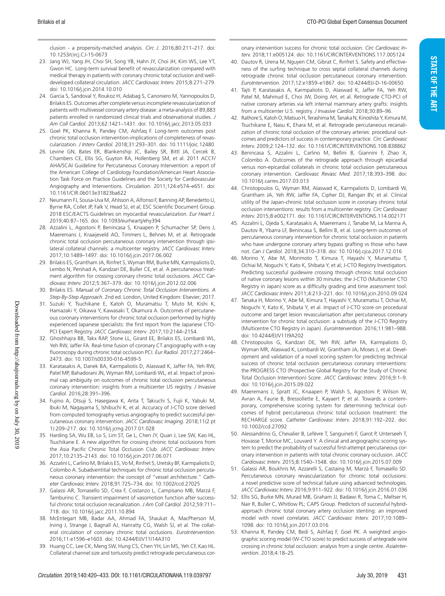STATE OF THE ART

**STATE OF THE ART** 

- 10.1253/circj.CJ-15-0673 23. Jang WJ, Yang JH, Choi SH, Song YB, Hahn JY, Choi JH, Kim WS, Lee YT, Gwon HC. Long-term survival benefit of revascularization compared with medical therapy in patients with coronary chronic total occlusion and welldeveloped collateral circulation. *JACC Cardiovasc Interv.* 2015;8:271–279. doi: 10.1016/j.jcin.2014.10.010
- 24. Garcia S, Sandoval Y, Roukoz H, Adabag S, Canoniero M, Yannopoulos D, Brilakis ES. Outcomes after complete versus incomplete revascularization of patients with multivessel coronary artery disease: a meta-analysis of 89,883 patients enrolled in randomized clinical trials and observational studies. *J Am Coll Cardiol.* 2013;62:1421–1431. doi: 10.1016/j.jacc.2013.05.033
- 25. Goel PK, Khanna R, Pandey CM, Ashfaq F. Long-term outcomes post chronic total occlusion intervention-implications of completeness of revascularization. *J Interv Cardiol.* 2018;31:293–301. doi: 10.1111/joic.12480
- 26. Levine GN, Bates ER, Blankenship JC, Bailey SR, Bittl JA, Cercek B, Chambers CE, Ellis SG, Guyton RA, Hollenberg SM, et al. 2011 ACCF/ AHA/SCAI Guideline for Percutaneous Coronary Intervention: a report of the American College of Cardiology Foundation/American Heart Association Task Force on Practice Guidelines and the Society for Cardiovascular Angiography and Interventions. *Circulation.* 2011;124:e574–e651. doi: 10.1161/CIR.0b013e31823ba622
- 27. Neumann FJ, Sousa-Uva M, Ahlsson A, Alfonso F, Banning AP, Benedetto U, Byrne RA, Collet JP, Falk V, Head SJ, et al; ESC Scientific Document Group. 2018 ESC/EACTS Guidelines on myocardial revascularization. *Eur Heart J.* 2019;40:87–165. doi: 10.1093/eurheartj/ehy394
- 28. Azzalini L, Agostoni P, Benincasa S, Knaapen P, Schumacher SP, Dens J, Maeremans J, Kraaijeveld AO, Timmers L, Behnes M, et al. Retrograde chronic total occlusion percutaneous coronary intervention through ipsilateral collateral channels: a multicenter registry. *JACC Cardiovasc Interv.* 2017;10:1489–1497. doi: 10.1016/j.jcin.2017.06.002
- 29. Brilakis ES, Grantham JA, Rinfret S, Wyman RM, Burke MN, Karmpaliotis D, Lembo N, Pershad A, Kandzari DE, Buller CE, et al. A percutaneous treatment algorithm for crossing coronary chronic total occlusions. *JACC Cardiovasc Interv.* 2012;5:367–379. doi: 10.1016/j.jcin.2012.02.006
- 30. Brilakis ES. *Manual of Coronary Chronic Total Occlusion Interventions. A Step-By-Step Approach*. 2nd ed. London, United Kingdom: Elsevier; 2017.
- 31. Suzuki Y, Tsuchikane E, Katoh O, Muramatsu T, Muto M, Kishi K, Hamazaki Y, Oikawa Y, Kawasaki T, Okamura A. Outcomes of percutaneous coronary interventions for chronic total occlusion performed by highly experienced Japanese specialists: the first report from the Japanese CTO-PCI Expert Registry. *JACC Cardiovasc Interv*. 2017;10:2144–2154.
- 32. Ghoshhajra BB, Takx RAP, Stone LL, Girard EE, Brilakis ES, Lombardi WL, Yeh RW, Jaffer FA. Real-time fusion of coronary CT angiography with x-ray fluoroscopy during chronic total occlusion PCI. *Eur Radiol.* 2017;27:2464– 2473. doi: 10.1007/s00330-016-4599-5
- 33. Karatasakis A, Danek BA, Karmpaliotis D, Alaswad K, Jaffer FA, Yeh RW, Patel MP, Bahadorani JN, Wyman RM, Lombardi WL, et al. Impact of proximal cap ambiguity on outcomes of chronic total occlusion percutaneous coronary intervention: insights from a multicenter US registry. *J Invasive Cardiol.* 2016;28:391–396.
- 34. Fujino A, Otsuji S, Hasegawa K, Arita T, Takiuchi S, Fujii K, Yabuki M, Ibuki M, Nagayama S, Ishibuchi K, et al. Accuracy of J-CTO score derived from computed tomography versus angiography to predict successful percutaneous coronary intervention. *JACC Cardiovasc Imaging.* 2018;11(2 pt 1):209–217. doi: 10.1016/j.jcmg.2017.01.028
- 35. Harding SA, Wu EB, Lo S, Lim ST, Ge L, Chen JY, Quan J, Lee SW, Kao HL, Tsuchikane E. A new algorithm for crossing chronic total occlusions from the Asia Pacific Chronic Total Occlusion Club. *JACC Cardiovasc Interv.* 2017;10:2135–2143. doi: 10.1016/j.jcin.2017.06.071
- 36. Azzalini L, Carlino M, Brilakis ES, Vo M, Rinfret S, Uretsky BF, Karmpaliotis D, Colombo A. Subadventitial techniques for chronic total occlusion percutaneous coronary intervention: the concept of "vessel architecture." *Catheter Cardiovasc Interv.* 2018;91:725–734. doi: 10.1002/ccd.27025
- 37. Galassi AR, Tomasello SD, Crea F, Costanzo L, Campisano MB, Marzá F, Tamburino C. Transient impairment of vasomotion function after successful chronic total occlusion recanalization. *J Am Coll Cardiol.* 2012;59:711– 718. doi: 10.1016/j.jacc.2011.10.894
- 38. McEntegart MB, Badar AA, Ahmad FA, Shaukat A, MacPherson M, Irving J, Strange J, Bagnall AJ, Hanratty CG, Walsh SJ, et al. The collateral circulation of coronary chronic total occlusions. *EuroIntervention.* 2016;11:e1596–e1603. doi: 10.4244/EIJV11I14A310
- 39. Huang CC, Lee CK, Meng SW, Hung CS, Chen YH, Lin MS, Yeh CF, Kao HL. Collateral channel size and tortuosity predict retrograde percutaneous cor-

onary intervention success for chronic total occlusion. *Circ Cardiovasc Interv.* 2018;11:e005124. doi: 10.1161/CIRCINTERVENTIONS.117.005124

- 40. Dautov R, Urena M, Nguyen CM, Gibrat C, Rinfret S. Safety and effectiveness of the surfing technique to cross septal collateral channels during retrograde chronic total occlusion percutaneous coronary intervention. *EuroIntervention.* 2017;12:e1859–e1867. doi: 10.4244/EIJ-D-16-00650
- 41. Tajti P, Karatasakis A, Karmpaliotis D, Alaswad K, Jaffer FA, Yeh RW, Patel M, Mahmud E, Choi JW, Doing AH, et al. Retrograde CTO-PCI of native coronary arteries via left internal mammary artery grafts: insights from a multicenter U.S. registry. *J Invasive Cardiol.* 2018;30:89–96.
- 42. Rathore S, Katoh O, Matsuo H, Terashima M, Tanaka N, Kinoshita Y, Kimura M, Tsuchikane E, Nasu K, Ehara M, et al. Retrograde percutaneous recanalization of chronic total occlusion of the coronary arteries: procedural outcomes and predictors of success in contemporary practice. *Circ Cardiovasc Interv.* 2009;2:124–132. doi: 10.1161/CIRCINTERVENTIONS.108.838862
- 43. Benincasa S, Azzalini L, Carlino M, Bellini B, Giannini F, Zhao X, Colombo A. Outcomes of the retrograde approach through epicardial versus non-epicardial collaterals in chronic total occlusion percutaneous coronary intervention. *Cardiovasc Revasc Med.* 2017;18:393–398. doi: 10.1016/j.carrev.2017.03.013
- 44. Christopoulos G, Wyman RM, Alaswad K, Karmpaliotis D, Lombardi W, Grantham JA, Yeh RW, Jaffer FA, Cipher DJ, Rangan BV, et al. Clinical utility of the Japan-chronic total occlusion score in coronary chronic total occlusion interventions: results from a multicenter registry. *Circ Cardiovasc Interv.* 2015;8:e002171. doi: 10.1161/CIRCINTERVENTIONS.114.002171
- 45. Azzalini L, Ojeda S, Karatasakis A, Maeremans J, Tanabe M, La Manna A, Dautov R, Ybarra LF, Benincasa S, Bellini B, et al. Long-term outcomes of percutaneous coronary intervention for chronic total occlusion in patients who have undergone coronary artery bypass grafting vs those who have not. *Can J Cardiol.* 2018;34:310–318. doi: 10.1016/j.cjca.2017.12.016
- 46. Morino Y, Abe M, Morimoto T, Kimura T, Hayashi Y, Muramatsu T, Ochiai M, Noguchi Y, Kato K, Shibata Y, et al; J-CTO Registry Investigators. Predicting successful guidewire crossing through chronic total occlusion of native coronary lesions within 30 minutes: the J-CTO (Multicenter CTO Registry in Japan) score as a difficulty grading and time assessment tool. *JACC Cardiovasc Interv.* 2011;4:213–221. doi: 10.1016/j.jcin.2010.09.024
- 47. Tanaka H, Morino Y, Abe M, Kimura T, Hayashi Y, Muramatsu T, Ochiai M, Noguchi Y, Kato K, Shibata Y, et al. Impact of J-CTO score on procedural outcome and target lesion revascularisation after percutaneous coronary intervention for chronic total occlusion: a substudy of the J-CTO Registry (Multicentre CTO Registry in Japan). *EuroIntervention.* 2016;11:981–988. doi: 10.4244/EIJV11I9A202
- 48. Christopoulos G, Kandzari DE, Yeh RW, Jaffer FA, Karmpaliotis D, Wyman MR, Alaswad K, Lombardi W, Grantham JA, Moses J, et al. Development and validation of a novel scoring system for predicting technical success of chronic total occlusion percutaneous coronary interventions: the PROGRESS CTO (Prospective Global Registry for the Study of Chronic Total Occlusion Intervention) Score. *JACC Cardiovasc Interv.* 2016;9:1–9. doi: 10.1016/j.jcin.2015.09.022
- 49. Maeremans J, Spratt JC, Knaapen P, Walsh S, Agostoni P, Wilson W, Avran A, Faurie B, Bressollette E, Kayaert P, et al. Towards a contemporary, comprehensive scoring system for determining technical outcomes of hybrid percutaneous chronic total occlusion treatment: the RECHARGE score. *Catheter Cardiovasc Interv.* 2018;91:192–202. doi: 10.1002/ccd.27092
- 50. Alessandrino G, Chevalier B, Lefèvre T, Sanguineti F, Garot P, Unterseeh T, Hovasse T, Morice MC, Louvard Y. A clinical and angiographic scoring system to predict the probability of successful first-attempt percutaneous coronary intervention in patients with total chronic coronary occlusion. *JACC Cardiovasc Interv.* 2015;8:1540–1548. doi: 10.1016/j.jcin.2015.07.009
- 51. Galassi AR, Boukhris M, Azzarelli S, Castaing M, Marzà F, Tomasello SD. Percutaneous coronary revascularization for chronic total occlusions: a novel predictive score of technical failure using advanced technologies. *JACC Cardiovasc Interv.* 2016;9:911–922. doi: 10.1016/j.jcin.2016.01.036
- 52. Ellis SG, Burke MN, Murad MB, Graham JJ, Badawi R, Toma C, Meltser H, Nair R, Buller C, Whitlow PL; CAPS Group. Predictors of successful hybridapproach chronic total coronary artery occlusion stenting: an improved model with novel correlates. *JACC Cardiovasc Interv.* 2017;10:1089– 1098. doi: 10.1016/j.jcin.2017.03.016
- 53. Khanna R, Pandey CM, Bedi S, Ashfaq F, Goel PK. A weighted angiographic scoring model (W-CTO score) to predict success of antegrade wire crossing in chronic total occlusion: analysis from a single centre. *AsiaIntervention*. 2018;4:18–25.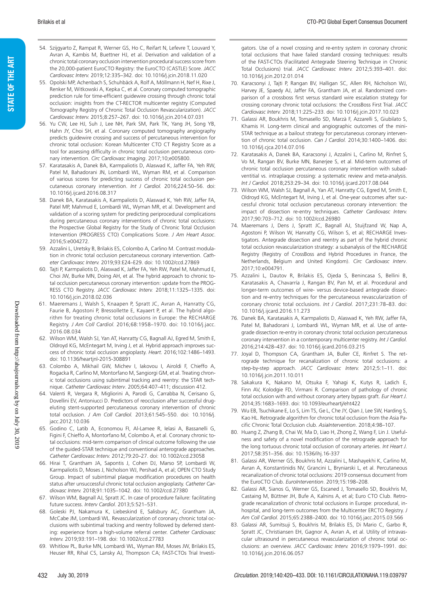- STATE OF THE ART STATE OF THE ART
- 54. Szijgyarto Z, Rampat R, Werner GS, Ho C, Reifart N, Lefevre T, Louvard Y, Avran A, Kambis M, Buettner HJ, et al. Derivation and validation of a chronic total coronary occlusion intervention procedural success score from the 20,000-patient EuroCTO Registry: the EuroCTO (CASTLE) Score. *JACC Cardiovasc Interv.* 2019;12:335–342. doi: 10.1016/j.jcin.2018.11.020
- 55. Opolski MP, Achenbach S, Schuhbäck A, Rolf A, Möllmann H, Nef H, Rixe J, Renker M, Witkowski A, Kepka C, et al. Coronary computed tomographic prediction rule for time-efficient guidewire crossing through chronic total occlusion: insights from the CT-RECTOR multicenter registry (Computed Tomography Registry of Chronic Total Occlusion Revascularization). *JACC Cardiovasc Interv.* 2015;8:257–267. doi: 10.1016/j.jcin.2014.07.031
- 56. Yu CW, Lee HJ, Suh J, Lee NH, Park SM, Park TK, Yang JH, Song YB, Hahn JY, Choi SH, et al. Coronary computed tomography angiography predicts guidewire crossing and success of percutaneous intervention for chronic total occlusion: Korean Multicenter CTO CT Registry Score as a tool for assessing difficulty in chronic total occlusion percutaneous coronary intervention. *Circ Cardiovasc Imaging*. 2017;10;e005800.
- 57. Karatasakis A, Danek BA, Karmpaliotis D, Alaswad K, Jaffer FA, Yeh RW, Patel M, Bahadorani JN, Lombardi WL, Wyman RM, et al. Comparison of various scores for predicting success of chronic total occlusion percutaneous coronary intervention. *Int J Cardiol.* 2016;224:50–56. doi: 10.1016/j.ijcard.2016.08.317
- 58. Danek BA, Karatasakis A, Karmpaliotis D, Alaswad K, Yeh RW, Jaffer FA, Patel MP, Mahmud E, Lombardi WL, Wyman MR, et al. Development and validation of a scoring system for predicting periprocedural complications during percutaneous coronary interventions of chronic total occlusions: the Prospective Global Registry for the Study of Chronic Total Occlusion Intervention (PROGRESS CTO) Complications Score. *J Am Heart Assoc*. 2016;5:e004272.
- 59. Azzalini L, Uretsky B, Brilakis ES, Colombo A, Carlino M. Contrast modulation in chronic total occlusion percutaneous coronary intervention. *Catheter Cardiovasc Interv.* 2019;93:E24–E29. doi: 10.1002/ccd.27869
- 60. Tajti P, Karmpaliotis D, Alaswad K, Jaffer FA, Yeh RW, Patel M, Mahmud E, Choi JW, Burke MN, Doing AH, et al. The hybrid approach to chronic total occlusion percutaneous coronary intervention: update from the PROG-RESS CTO Registry. *JACC Cardiovasc Interv.* 2018;11:1325–1335. doi: 10.1016/j.jcin.2018.02.036
- 61. Maeremans J, Walsh S, Knaapen P, Spratt JC, Avran A, Hanratty CG, Faurie B, Agostoni P, Bressollette E, Kayaert P, et al. The hybrid algorithm for treating chronic total occlusions in Europe: the RECHARGE Registry. *J Am Coll Cardiol.* 2016;68:1958–1970. doi: 10.1016/j.jacc. 2016.08.034
- 62. Wilson WM, Walsh SJ, Yan AT, Hanratty CG, Bagnall AJ, Egred M, Smith E, Oldroyd KG, McEntegart M, Irving J, et al. Hybrid approach improves success of chronic total occlusion angioplasty. *Heart.* 2016;102:1486–1493. doi: 10.1136/heartjnl-2015-308891
- 63. Colombo A, Mikhail GW, Michev I, Iakovou I, Airoldi F, Chieffo A, Rogacka R, Carlino M, Montorfano M, Sangiorgi GM, et al. Treating chronic total occlusions using subintimal tracking and reentry: the STAR technique. *Catheter Cardiovasc Interv*. 2005;64:407–411; discussion 412.
- 64. Valenti R, Vergara R, Migliorini A, Parodi G, Carrabba N, Cerisano G, Dovellini EV, Antoniucci D. Predictors of reocclusion after successful drugeluting stent-supported percutaneous coronary intervention of chronic total occlusion. *J Am Coll Cardiol.* 2013;61:545–550. doi: 10.1016/j. jacc.2012.10.036
- 65. Godino C, Latib A, Economou FI, Al-Lamee R, Ielasi A, Bassanelli G, Figini F, Chieffo A, Montorfano M, Colombo A, et al. Coronary chronic total occlusions: mid-term comparison of clinical outcome following the use of the guided-STAR technique and conventional anterograde approaches. *Catheter Cardiovasc Interv.* 2012;79:20–27. doi: 10.1002/ccd.23058
- 66. Hirai T, Grantham JA, Sapontis J, Cohen DJ, Marso SP, Lombardi W, Karmpaliotis D, Moses J, Nicholson WJ, Pershad A, et al; OPEN CTO Study Group. Impact of subintimal plaque modification procedures on health status after unsuccessful chronic total occlusion angioplasty. *Catheter Cardiovasc Interv.* 2018;91:1035–1042. doi: 10.1002/ccd.27380
- 67. Wilson WM, Bagnall AJ, Spratt JC. In case of procedure failure: facilitating future success. *Interv Cardiol*. 2013;5:521–531.
- 68. Goleski PJ, Nakamura K, Liebeskind E, Salisbury AC, Grantham JA, McCabe JM, Lombardi WL. Revascularization of coronary chronic total occlusions with subintimal tracking and reentry followed by deferred stenting: experience from a high-volume referral center. *Catheter Cardiovasc Interv.* 2019;93:191–198. doi: 10.1002/ccd.27783
- 69. Whitlow PL, Burke MN, Lombardi WL, Wyman RM, Moses JW, Brilakis ES, Heuser RR, Rihal CS, Lansky AJ, Thompson CA; FAST-CTOs Trial Investi-

gators. Use of a novel crossing and re-entry system in coronary chronic total occlusions that have failed standard crossing techniques: results of the FAST-CTOs (Facilitated Antegrade Steering Technique in Chronic Total Occlusions) trial. *JACC Cardiovasc Interv.* 2012;5:393–401. doi: 10.1016/j.jcin.2012.01.014

- 70. Karacsonyi J, Tajti P, Rangan BV, Halligan SC, Allen RH, Nicholson WJ, Harvey JE, Spaedy AJ, Jaffer FA, Grantham JA, et al. Randomized comparison of a crossboss first versus standard wire escalation strategy for crossing coronary chronic total occlusions: the CrossBoss First Trial. *JACC Cardiovasc Interv.* 2018;11:225–233. doi: 10.1016/j.jcin.2017.10.023
- 71. Galassi AR, Boukhris M, Tomasello SD, Marzà F, Azzarelli S, Giubilato S, Khamis H. Long-term clinical and angiographic outcomes of the mini-STAR technique as a bailout strategy for percutaneous coronary intervention of chronic total occlusion. *Can J Cardiol.* 2014;30:1400–1406. doi: 10.1016/j.cjca.2014.07.016
- 72. Karatasakis A, Danek BA, Karacsonyi J, Azzalini L, Carlino M, Rinfret S, Vo M, Rangan BV, Burke MN, Banerjee S, et al. Mid-term outcomes of chronic total occlusion percutaneous coronary intervention with subadventitial vs. intraplaque crossing: a systematic review and meta-analysis. *Int J Cardiol.* 2018;253:29–34. doi: 10.1016/j.ijcard.2017.08.044
- 73. Wilson WM, Walsh SJ, Bagnall A, Yan AT, Hanratty CG, Egred M, Smith E, Oldroyd KG, McEntegart M, Irving J, et al. One-year outcomes after successful chronic total occlusion percutaneous coronary intervention: the impact of dissection re-entry techniques. *Catheter Cardiovasc Interv.* 2017;90:703–712. doi: 10.1002/ccd.26980
- 74. Maeremans J, Dens J, Spratt JC, Bagnall AJ, Stuijfzand W, Nap A, Agostoni P, Wilson W, Hanratty CG, Wilson S, et al; RECHARGE Investigators. Antegrade dissection and reentry as part of the hybrid chronic total occlusion revascularization strategy: a subanalysis of the RECHARGE Registry (Registry of CrossBoss and Hybrid Procedures in France, the Netherlands, Belgium and United Kingdom). *Circ Cardiovasc Interv*. 2017;10:e004791.
- 75. Azzalini L, Dautov R, Brilakis ES, Ojeda S, Benincasa S, Bellini B, Karatasakis A, Chavarría J, Rangan BV, Pan M, et al. Procedural and longer-term outcomes of wire- versus device-based antegrade dissection and re-entry techniques for the percutaneous revascularization of coronary chronic total occlusions. *Int J Cardiol.* 2017;231:78–83. doi: 10.1016/j.ijcard.2016.11.273
- 76. Danek BA, Karatasakis A, Karmpaliotis D, Alaswad K, Yeh RW, Jaffer FA, Patel M, Bahadorani J, Lombardi WL, Wyman MR, et al. Use of antegrade dissection re-entry in coronary chronic total occlusion percutaneous coronary intervention in a contemporary multicenter registry. *Int J Cardiol.* 2016;214:428–437. doi: 10.1016/j.ijcard.2016.03.215
- 77. Joyal D, Thompson CA, Grantham JA, Buller CE, Rinfret S. The retrograde technique for recanalization of chronic total occlusions: a step-by-step approach. *JACC Cardiovasc Interv.* 2012;5:1–11. doi: 10.1016/j.jcin.2011.10.011
- 78. Sakakura K, Nakano M, Otsuka F, Yahagi K, Kutys R, Ladich E, Finn AV, Kolodgie FD, Virmani R. Comparison of pathology of chronic total occlusion with and without coronary artery bypass graft. *Eur Heart J.* 2014;35:1683–1693. doi: 10.1093/eurheartj/eht422
- 79. Wu EB, Tsuchikane E, Lo S, Lim TS, Ge L, Che JY, Qian J, Lee SW, Harding S, Kao HL. Retrograde algorithm for chronic total occlusion from the Asia Pacific Chronic Total Occlusion club. *AsiaIntervention*. 2018;4:98–107.
- 80. Huang Z, Zhang B, Chai W, Ma D, Liao H, Zhong Z, Wang F, Lin J. Usefulness and safety of a novel modification of the retrograde approach for the long tortuous chronic total occlusion of coronary arteries. *Int Heart J.* 2017;58:351–356. doi: 10.1536/ihj.16-337
- 81. Galassi AR, Werner GS, Boukhris M, Azzalini L, Mashayekhi K, Carlino M, Avran A, Konstantinidis NV, Grancini L, Bryniarski L, et al. Percutaneous recanalization of chronic total occlusions: 2019 consensus document from the EuroCTO Club. *EuroIntervention*. 2019;15:198–208.
- 82. Galassi AR, Sianos G, Werner GS, Escaned J, Tomasello SD, Boukhris M, Castaing M, Büttner JH, Bufe A, Kalnins A, et al; Euro CTO Club. Retrograde recanalization of chronic total occlusions in Europe: procedural, inhospital, and long-term outcomes from the Multicenter ERCTO Registry. *J Am Coll Cardiol.* 2015;65:2388–2400. doi: 10.1016/j.jacc.2015.03.566
- 83. Galassi AR, Sumitsuji S, Boukhris M, Brilakis ES, Di Mario C, Garbo R, Spratt JC, Christiansen EH, Gagnor A, Avran A, et al. Utility of intravascular ultrasound in percutaneous revascularization of chronic total occlusions: an overview. *JACC Cardiovasc Interv.* 2016;9:1979–1991. doi: 10.1016/j.jcin.2016.06.057